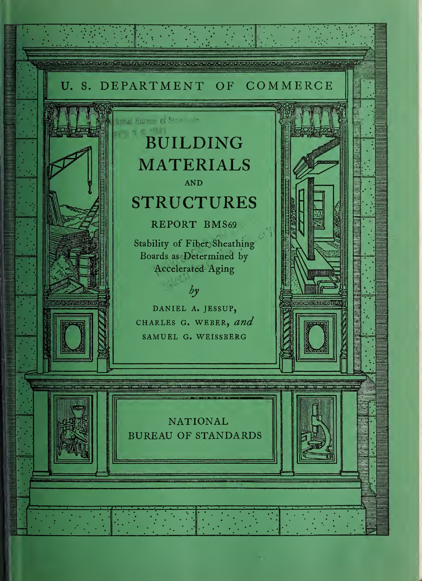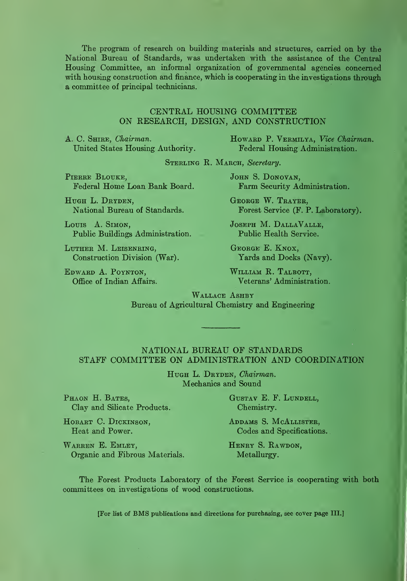The program of research on building materials and structures, carried on by the National Bureau of Standards, was undertaken with the assistance of the Central Housing Committee, an informal organization of governmental agencies concerned with housing construction and finance, which is cooperating in the investigations through a committee of principal technicians.

#### CENTKAL HOUSING COMMITTEE ON RESEARCH, DESIGN, AND CONSTRUCTION

A. C. SHIRE, Chairman. United States Housing Authority. HOWARD P. VERMILYA, Vice Chairman. Federal Housing Administration.

STERLING R. MARCH, Secretary.

PIERRE BLOUKE, Federal Home Loan Bank Board.

HUGH L. DRYDEN, National Bureau of Standards.

Louis A. Simon, Public Buildings Administration.

Luther M. Leisenring, Construction Division (War).

Edward A. Poynton, Office of Indian Affairs. JOHN S. DONOVAN, Farm Security Administration.

George W. Trayer, Forest Service (F. P. Laboratory).

Joseph M. DallaValle, Public Health Service.

George E. Knox, Yards and Docks (Navy).

WILLIAM R. TALBOTT, Veterans' Administration.

WALLACE ASHBY Bureau of Agricultural Chemistry and Engineering

#### NATIONAL BUREAU OF STANDARDS STAFF COMMITTEE ON ADMINISTRATION AND COORDINATION

HUGH L. DRYDEN, Chairman. Mechanics and Sound

PHAON H. BATES, GUSTAV E. F. LUNDELL, Clay and Silicate Products. Chemistry.

HOBART C. DICKINSON, ADDAMS S. MCALLISTER,

Heat and Power. Codes and Specifications.

WARREN E. EMLEY, HENRY S. RAWDON, Organic and Fibrous Materials. Metallurgy.

The Forest Products Laboratory of the Forest Service is cooperating with both committees on investigations of wood constructions.

[For list of BMS publications and directions for purchasing, see cover page III.]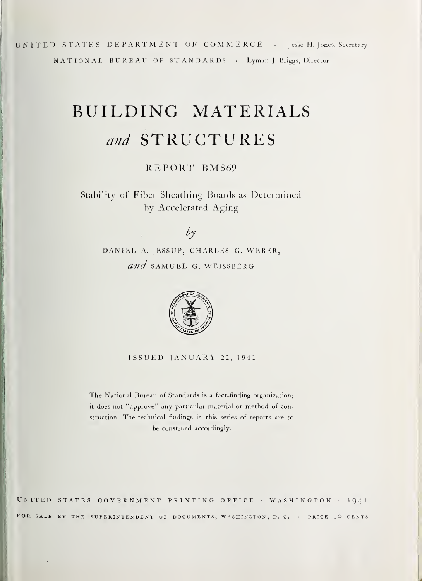UNITED STATES DEPARTMENT OF COMMERCE • Jesse H. Jones, Secretary NATIONAL BUREAU OF STANDARDS • Lyman J. Briggs, Director

# BUILDING MATERIALS and STRUCTURES

REPORT BMS69

Stability of Fiber Sheathing Boards as Determined by Accelerated Aging

## by

DANIEL A. JESSUP, CHARLES G. WEBER, and SAMUEL G. WEISSBERG



ISSUED JANUARY 22, 1941

The National Bureau of Standards is a fact-finding organization; it does not "approve" any particular material or method of construction. The technical findings in this series of reports are to be construed accordingly.

UNITED STATES GOVERNMENT PRINTING OFFICE · WASHINGTON · 1941 FOR SALE BY THE SUPERINTENDENT OF DOCUMENTS, WASHINGTON, D. C. · PRICE IO CENTS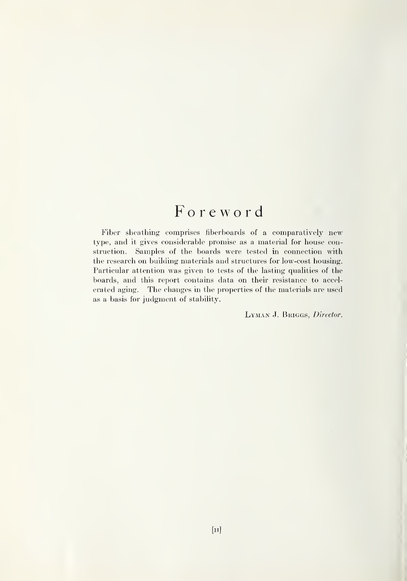## Foreword

Fiber sheathing comprises fiberboards of a comparatively new type, and it gives considerable promise as a material for house construction. Samples of the boards were tested in connection with the research on building materials and structures for low-cost housing. Particular attention was given to tests of the lasting qualities of the boards, and this report contains data on their resistance to accel erated aging. The changes in the properties of the materials are used as a basis for judgment of stability.

LYMAN J. BRIGGS, Director.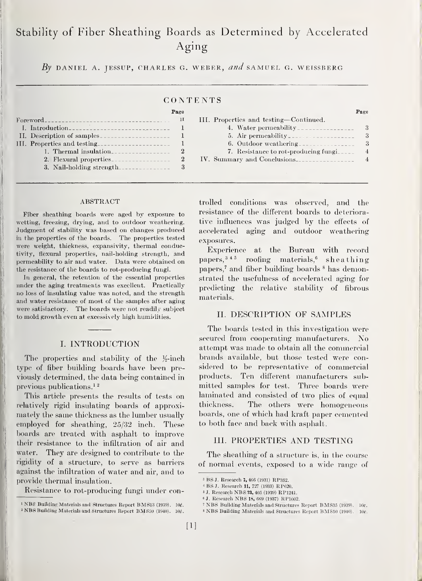## Stability of Fiber Sheathing Boards as Determined by Accelerated Aging

By DANIEL A. JESSUP, CHARLES G. WEBER, and SAMUEL G. WEISSBERG

#### CONTENTS

|                             | rage         |  |
|-----------------------------|--------------|--|
| $For word =$                | $\mathbf{H}$ |  |
|                             |              |  |
| II. Description of samples  |              |  |
| III. Properties and testing |              |  |
| 1. Thermal insulation       | 9            |  |
| 2. Flexural properties      | $\mathbf{2}$ |  |
| 3. Nail-holding strength    |              |  |

#### ABSTRACT

Fiber sheathing boards were aged by exposure to wetting, freezing, drying, and to outdoor weathering. Judgment of stability was based on changes produced in the properties of the boards. The properties tested were weight, thickness, expansivity, thermal conductivity, fiexural properties, nail-holding strength, and permeability to air and water. Data were obtained on the resistance of the boards to rot-producing fungi.

In general, the retention of the essential properties under the aging treatments was excellent. Practically no loss of insulating value was noted, and the strength and water resistance of most of the samples after aging were satisiactory. The boards were not readily subject to mold growth even at excessively high humidities.

#### I. INTRODUCTION

The properties and stability of the  $\frac{1}{2}$ -inch type of fiber building boards have been previously determined, the data being contained in previous publications.<sup>12</sup>

This article presents the results of tests on laminated<br>latively rigid insulating boards of approxi-<br>thickness. relatively rigid insulating boards of approximately the same thickness as the lumber usually employed for sheathing, 25/32 inch. These boards are treated with asphalt to improve their resistance to the infiltration of air and water. They are designed to contribute to the rigidity of a structure, to serve as barriers against the infiltration of water and air, and to provide thermal insulation.

Resistance to rot-producing fungi under con-

| $_{\rm \texttt{Pace}}$ |                                        | Page           |
|------------------------|----------------------------------------|----------------|
| 1I                     | III. Properties and testing—Continued. |                |
|                        | 4. Water permeability                  | 3              |
|                        |                                        | 3              |
|                        | 6. Outdoor weathering                  | 3              |
| 2                      | 7. Resistance to rot-producing fungi   | $\overline{4}$ |
| $\boldsymbol{2}$       | IV. Summary and Conclusions            | 4              |
|                        |                                        |                |

trolled conditions was observed, and the resistance of the different boards to deteriorative influences was judged by the effects of accelerated aging and outdoor weathering exposures.

Experience at the Bureau with record papers,  $345$  roofing materials,  $6$  sheathing papers,<sup>7</sup> and fiber building boards <sup>8</sup> has demonstrated the usefulness of accelerated aging for predicting the relative stability of fibrous materials.

#### II. DESCRIPTION OF SAMPLES

The boards tested in this investigation were secured from cooperating manufacturers. No attempt was made to obtain all the commercial brands available, but those tested were considered to be representative of commercial products. Ten different manufacturers submitted samples for test. Three boards were laminated and consisted of two plies of equal The others were homogeneous boards, one of which had kraft paper cemented to both face and back with asphalt.

#### III. PROPERTIES AND TESTING

The sheathing of a structure is, in the course of normal events, exposed to a wide range of

<sup>&</sup>lt;sup>1</sup> NBS Building Materials and Structures Report BMS13 (1939). 10¢. <sup>2</sup> NBS Building Materials and Structures Report BMS50 (1940). 10¢.

<sup>3</sup> BS J. Research 7, <sup>466</sup> (1931) RP352.

<sup>&</sup>lt;sup>4</sup> BS J. Research 11, 727 (1933) RP620.

<sup>«</sup> J. Research NBS ?3, <sup>405</sup> (1939) RP1241.

<sup>«</sup> J. Research NBS 18, <sup>669</sup> (1937) RP1002.

<sup>&</sup>lt;sup>7</sup> NBS Building Materials and Structures Report BMS35 (1939). 10e.

<sup>&</sup>lt;sup>8</sup> NBS Building Materials and Structures Report BMS50 (1940). 10c.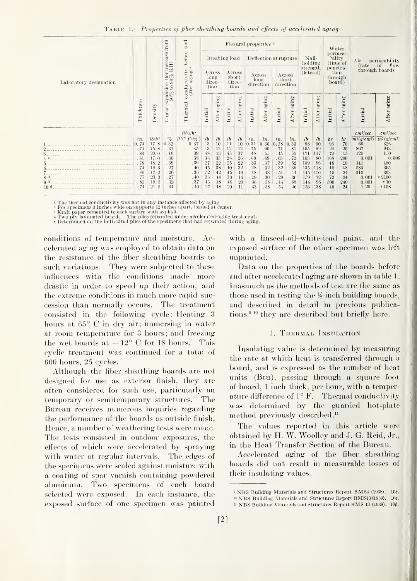|  | TABLE 1.- Properties of fiber sheathing boards and effects of accelerated aging |
|--|---------------------------------------------------------------------------------|
|--|---------------------------------------------------------------------------------|

|                                                                                                                                                                      | Thickness                                                                  |                                                                                           | from<br>$\frac{1}{\rm{R}\,H)}$                                            | and<br>before                                                                                                                    | Breaking load                                                              |                                                                              |                                                                        |                                                                                | Flexural properties b<br>Deflection at rupture                             |                                                                            |                                                                            | Nail-<br>holding<br>strength<br>(lateral)                                  |                                                                        | Water<br>permea-<br>bility<br>(time of<br>penetra-<br>tion<br>through<br>board)  |                                                                  | Air<br>permeability<br>of<br>flow<br>(rate<br>through board)     |                                                                                                         |                                                                                                                    |
|----------------------------------------------------------------------------------------------------------------------------------------------------------------------|----------------------------------------------------------------------------|-------------------------------------------------------------------------------------------|---------------------------------------------------------------------------|----------------------------------------------------------------------------------------------------------------------------------|----------------------------------------------------------------------------|------------------------------------------------------------------------------|------------------------------------------------------------------------|--------------------------------------------------------------------------------|----------------------------------------------------------------------------|----------------------------------------------------------------------------|----------------------------------------------------------------------------|----------------------------------------------------------------------------|------------------------------------------------------------------------|----------------------------------------------------------------------------------|------------------------------------------------------------------|------------------------------------------------------------------|---------------------------------------------------------------------------------------------------------|--------------------------------------------------------------------------------------------------------------------|
| Laboratory designation                                                                                                                                               |                                                                            |                                                                                           | $\frac{1}{90\%}$                                                          | d<br>£,<br>aging<br>conducti<br>after<br>Thermal                                                                                 | A cross<br>long<br>direc-<br>tion                                          |                                                                              | Across<br>sbort<br>direc-<br>tion                                      |                                                                                | Across<br>A cross<br>long<br>short<br>direction<br>direction               |                                                                            |                                                                            |                                                                            |                                                                        |                                                                                  |                                                                  |                                                                  |                                                                                                         |                                                                                                                    |
|                                                                                                                                                                      |                                                                            | Density                                                                                   | expansion<br>$\frac{3}{90\%}$ to $90$<br>Linear                           |                                                                                                                                  | Initial                                                                    | After aging                                                                  | Initial                                                                | aging<br>After                                                                 | Initial                                                                    | aging<br>After                                                             | Initial                                                                    | aging<br>After                                                             | Initial                                                                | aging<br>After                                                                   | Initial                                                          | aging<br>After                                                   | Initial                                                                                                 | After aging                                                                                                        |
| 4 <sup>c</sup><br>the control of the control of the control of the control of<br>8d<br>and the company of the company of the company of the<br>9d<br>10 <sup>d</sup> | in.<br>0.74<br>.74<br>.83<br>.81<br>.78<br>.74<br>.80<br>.77<br>.82<br>.74 | $lb/fl^3$<br>17.8<br>15.8<br>20.0<br>17.0<br>18.2<br>19.3<br>17.2<br>23.3<br>19.5<br>21.5 | $\%$<br>0.32<br>.31<br>.10<br>.30<br>.39<br>.27<br>20<br>.27<br>32<br>.34 | Btu/hr<br>$\overline{f\ell^2({}^{\circ}F/i\overline{n})}$<br>0.37<br>.35<br>.39<br>.38<br>.39<br>.40<br>.36<br>.40<br>.37<br>.40 | l <sub>b</sub><br>13<br>13<br>48<br>38<br>27<br>45<br>52<br>33<br>43<br>27 | $l$ <i>b</i><br>10<br>12<br>43<br>33<br>$22\,$<br>38<br>42<br>14<br>18<br>18 | $l\bar{b}$<br>11<br>12<br>45<br>28<br>25<br>40<br>45<br>30<br>46<br>20 | l <sub>b</sub><br>10<br>12<br>37<br>26<br>$22\,$<br>32<br>40<br>14<br>20<br>11 | in.<br>0.31<br>.75<br>.48<br>.69<br>.33<br>.28<br>.48<br>.29<br>.36<br>.43 | in.<br>0.30<br>.90<br>.55<br>.69<br>.37<br>.32<br>.43<br>.30<br>.58<br>.58 | in.<br>0.28<br>.71<br>.45<br>.63<br>.39<br>.32<br>.51<br>.29<br>.44<br>.54 | in.<br>0.30<br>.81<br>.55<br>.72<br>.52<br>.39<br>.44<br>.30<br>.68<br>.46 | l<br>98<br>105<br>171<br>103<br>109<br>135<br>145<br>159<br>144<br>156 | $l$ <sub>b</sub><br>90<br>99<br>147<br>80<br>96<br>118<br>120<br>72<br>96<br>138 | hr<br>96<br>24<br>72<br>168<br>48<br>48<br>45<br>72<br>500<br>48 | hr<br>70<br>20<br>45<br>200<br>20<br>48<br>24<br>24<br>240<br>24 | $cm^3/sec$<br>$m^2(g/cm^2)$<br>65<br>867<br>125<br>0.001<br>141<br>583<br>315<br>0.001<br>0.001<br>1.29 | $cm^3/sec$<br>$m^2(q/cm^2)$<br>326<br>943<br>150<br>0.006<br>480<br>305<br>363<br>.2100<br>e <sub>10</sub><br>e108 |

« The thermal conductivity was not in any instance affected by aging.

b For specimens 3 inches wide on supports 12 inches apart, loaded at center.<br>\* Kraft paper cemented to each surface with asphalt.<br>d Two-ply laminated boards. The plies separated under accelerated-aging treatment.<br>\* Determi

conditions of temperature and moisture. Accelerated aging was employed to obtain data on the resistance of the fiber sheathing boards to such variations. They were subjected to these influences with the conditions made more drastic in order to speed up their action, and the extreme conditions in much more rapid succession than normally occurs. The treatment consisted in the following cycle: Heating 3 hours at 65° C in dry air; immersing in water at room temperature for <sup>3</sup> hours; and freezing the wet boards at  $-12^{\circ}$  C for 18 hours. This cyclic treatment was continued for a total of 600 hours, 25 cycles.

Although the fiber sheathing boards are not designed for use as exterior finish, they are often considered for such use, particularly on temporary or semitemporary structures. The Bureau receives numerous inquiries regarding the performance of the boards as outside finish. Hence, a number of weathering tests were made. The tests consisted in outdoor exposures, the effects of which were accelerated by spraying with water at regular intervals. The edges of the specimens were sealed against moisture with a coating of spar varnish containing powdered aluminum. Two specimens of each board selected were exposed. In each instance, the exposed surface of one specimen was painted

with a linseed-oil-white-lead paint, and the exposed surface of the other specimen was left unpainted.

Data on the properties of the boards before and after accelerated aging are shown in table <sup>1</sup> Inasmuch as the methods of test are the same as those used in testing the  $\frac{1}{2}$ -inch building boards, and described in detail in previous publications,<sup>910</sup> they are described but briefly here.

#### 1. Thermal Insulation

Insulating value is determined by measuring the rate at which heat is transferred through a board, and is expressed as the number of heat units (Btu), passing through a square foot of board, <sup>1</sup> inch thick, per hour, with a temperature difference of  $1^{\circ}$  F. Thermal conductivity was determined by the guarded hot-plate method previously described.<sup>11</sup>

The values reported in this article were obtained by H. W. Woolley and J. G. Eeid, Jr., in the Heat Transfer Section of the Bureau.

Accelerated aging of the fiber sheathing boards did not result in measurable losses of their insulating values.

<sup>&</sup>lt;sup>9</sup> NBS Building Materials and Structures Report BMS4 (1938). 10¢. <sup>10</sup> NBS Building Materials and Structures Report BMS13 (1939). 10g.

 $11$  NBS Building Materials and Structures Report BMS 13 (1939).  $10<sub>f</sub>$ .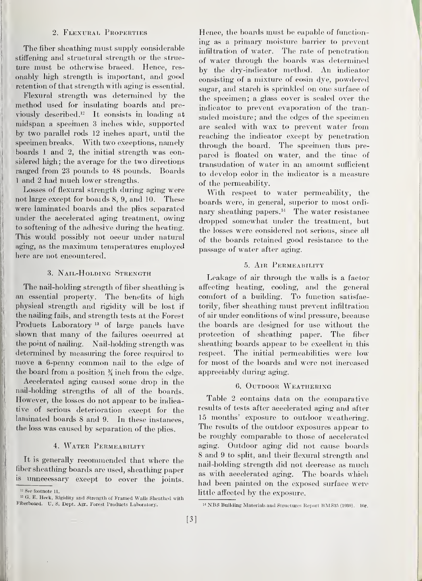#### 2. Flexurat. Properties

The fiber sheathing must supply considerable stiffening and structural strength or the struc ture must be otherwise braced. Hence, resonably high strength is important, and good retention of that strength with aging is essential.

Flexural strength was determined by the method used for insulating boards and previously described.<sup>12</sup> It eonsists in loading at midspan a specimen 3 inches wide, supported by two parallel rods 12 inches apart, until the speeimen breaks. With two exeeptions, namely boards <sup>1</sup> and 2, the initial strength was considered high; the average for the two directions ranged from 23 pounds to 48 pounds. Boards <sup>1</sup> and <sup>2</sup> had much lower strengths.

Losses of flexural strength during aging were not large except for boaids 8, 9, and 10. These were laminated boards and the plies separated under the accelerated aging treatment, owing to softening of the adhesive during the heating. This would possibly not occur under natural aging, as the maximum temperatures employed here are not encountered.

#### 3. Nail-Holding Strength

The nail-holding strength of fiber sheathing is an essential property. The benefits of high physical strength and rigidity will be lost if the nailing fails, and strength tests at the Forest Products Laboratory<sup>13</sup> of large panels have shown that many of the failures occurred at the point of nailing. Nail-holding strength was determined by measuring the force required to move <sup>a</sup> 6-penny common nail to the edge of the board from a position  $\frac{3}{4}$  inch from the edge.

Aecelerated aging caused some drop in the nail-holding strengths of all of the boards. However, the losses do not appear to be indicative of serious deterioration except for the laminated boards 8 and 9. In these instances, the loss was caused by separation of the plies.

#### 4. Water Permeability

It is generally recommended that where the fiber sheatliing boards are used, sheathing paper is unnecessary except to cover the joints. Hence, the boards must be capable of functioning as a primary moisture barrier to prevent infiltration of water. The rate of penetration of water through the boards was determined by the dry-indicator method. An indicator consisting of a mixture of eosin dye, powdered sugar, and stareh is sprinkled on one surface of the specimen; a glass cover is sealed over the indicator to prevent evaporation of the tran suded moisture; and the edges of the specimen are sealed with wax to prevent water from reaching the indicator except by penetration through the board. The specimen thus pre pared is floated on water, and the time of transudation of water in an amount sufficient to develop color in the indicator is a measure of the permeability.

With respect to water permeabihty, the boards were, in general, superior to most ordinary sheathing papers.<sup>14</sup> The water resistance dropped somewhat under the treatment, but the losses were considered not serious, since all of the boards retained good resistance to the passage of water after aging.

#### 5. AIR PERMEABILITY

Leakage of air through the walls is a factor affecting heating, cooling, and the general comfort of a building. To function satisfactorily, fiber sheathing must prevent infiltration of air under conditions of wind pressure, because the boards are designed for use without the protection of sheathing paper. The fiber sheathing boards appear to be excellent in this respect. The initial permeabilities were low for most of the boards and were not increased appreciably during aging.

#### 6. OUTDOOR WEATHERING

Table 2 contains data on the comparative results of tests after accelerated aging and after 15 months' exposure to outdoor weathering. The results of the outdoor exposures appear to be roughly comparable to those of aecelerated aging. Outdoor aging did not cause boards 8 and 9 to spht, and their flexural strength and nail-holding strength did not decrease as much as with accelerated aging. The boards which had been painted on the exposed surface were little affected by the exposure.

<sup>&</sup>lt;sup>12</sup> See footnote 11.

<sup>&</sup>lt;sup>13</sup> G. E. Heck, Rigidity and Strength of Framed Walls Sheathed with Fiberboard. U. S. Dept. Agr. Forest Products Laboratory.

<sup>&</sup>lt;sup>14</sup> NBS Building Materials and Structures Report BMS35 (1939).  $10$ g.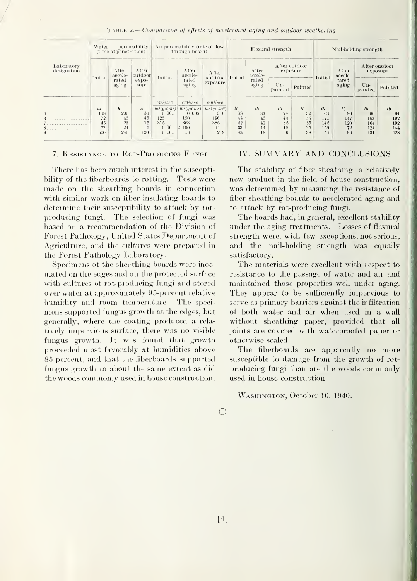| TABLE 2.—Comparison of effects of accelerated aging and outdoor weathering |  |  |  |  |  |
|----------------------------------------------------------------------------|--|--|--|--|--|
|----------------------------------------------------------------------------|--|--|--|--|--|

|                           | Water   | (time of penetration) | permeability                         |               | Air permeability (rate of flow<br>through board) |                               |                  | Flexural strength                  |                  | Nail-holding strength     |            |                                    |                           |                  |
|---------------------------|---------|-----------------------|--------------------------------------|---------------|--------------------------------------------------|-------------------------------|------------------|------------------------------------|------------------|---------------------------|------------|------------------------------------|---------------------------|------------------|
| Laboratory<br>designation | Initial | After<br>accele-      | A fter<br>outdoor<br>$expo-$<br>sure |               | After<br>accele-<br>rated<br>aging               | A fter<br>outdoor<br>exposure | Initial          | After<br>accele-<br>rated<br>aging |                  | After outdoor<br>exposure | Initial    | After<br>accele-<br>rated<br>aging | After outdoor<br>exposure |                  |
|                           |         | rated<br>aging        |                                      | Initial       |                                                  |                               |                  |                                    | $Un-$<br>painted | Painted                   |            |                                    | $Un-$<br>painted          | Painted          |
|                           |         |                       |                                      | $cm^3/sec$    | $cm^3/sec$                                       | $cm^3/sec$                    |                  |                                    |                  |                           |            |                                    |                           |                  |
|                           | $h\tau$ | $h\tau$               | $h\tau$                              | $m^2(q/cm^2)$ | $m^2(q/cm^2)$                                    | $m^2(q/cm^2)$                 | $l$ <sub>b</sub> | $l\bar{b}$                         | $l$ <sub>b</sub> | $l\bar{b}$                | $l\bar{b}$ | l <sub>b</sub>                     | $l\bar{b}$                | $l$ <sub>b</sub> |
|                           | 168     | 200                   | 30                                   | 0.001         | 0.006                                            | 3.6                           | 38               | 33                                 | 24               | 32                        | 103        | 80                                 | 90                        | 94               |
|                           | 72      | 45                    | 45                                   | 125           | 150                                              | 196                           | 48               | 45                                 | 44               | 55                        | 171        | 147                                | 163                       | 192              |
|                           | 45      | 23                    | 15                                   | 315           | 363                                              | 386                           | 52               | 42                                 | 35               | 55                        | 145        | 120                                | 164                       | 192              |
|                           | 72      | 24                    | 15                                   | 0.001         | 2, 100                                           | 414                           | 33               | 14                                 | 18               | 25                        | 159        | 72                                 | 124                       | 144              |
|                           | 500     | 240                   | 120                                  | 0.001         | 10                                               | 2.9                           | 43               | 18                                 | 36               | 38                        | 144        | 96                                 | 131                       | 128              |

#### 7. Resistance to Rot-Peoducing Fungi

There has been much interest in the susceptibility of the fiberboards to rotting. Tests were made on the sheathing boards in connection with similar work on fiber insulating boards to determine their susceptibility to attack by rot producing fungi. The selection of fungi was based on a recommendation of the Division of Forest Pathology, United States Department of Agriculture, and the cultures were prepared in the Forest Pathology Laboratory.

Specimens of the sheathing boards were inoculated on the edges and on the protected surface with cultures of rot-producing fungi and stored over water at approximately 95-percent relative humidity and room temperature. The speci mens supported fungus growth at the edges, but generally, where the coating produced a rela tively impervious surface, there was no visible fungus growth. It was found that growth proceeded most favorably at humidities above 85 percent, and that the fiberboards supported fungus growth to about the same extent as did the woods commonly used in house construction.

#### IV. SUMMARY AND CONCLUSIONS

The stabihty of fiber sheathing, a relatively new product in the field of house construction, was determined by measuring the resistance of fiber sheathing boards to accelerated aging and to attack by rot-producing fungi.

The boards had, in general, excellent stability under the aging treatments. Losses of flexural strength were, with few exceptions, not serious, and the nail-holding strength was equally satisfactory.

The materials were excellent with respect to resistance to the passage of water and air and maintained those properties well under aging. They appear to be sufficiently impervious to serve as primary barriers against the infiltration of both water and air when used in a wall without sheathing paper, provided that all joints are covered with waterproofed paper or otherwise sealed.

The fiberboards are apparently no more susceptible to damage from the growth of rot producing fungi than are the woods commonly used in house construction.

Washington, October 10, 1940.

o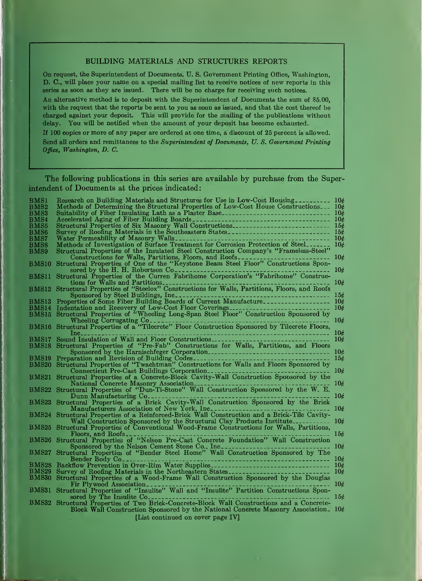#### BUILDING MATERIALS AND STRUCTURES REPORTS

On request, the Superintendent of Documents, U. S. Government Printing Office, Washington, D. C, will place your name on a special mailing list to receive notices of new reports in this series as soon as they are issued. There will be no charge for receiving such notices.

An alternative method is to deposit with the Superintendent of Documents the sum of \$5.00, with the request that the reports be sent to you as soon as issued, and that the cost thereof be charged against your deposit. This will provide for the mailing of the publications without delay. You will be notified when the amount of your deposit has become exhausted.

If 100 copies or more of any paper are ordered at one time, a discount of 25 percent is allowed. Send all orders and remittances to the Superintendent of Documents, U.S. Government Printing Office, Washington, D. C.

The following publications in this series are available by purchase from the Superintendent of Documents at the prices indicated:

| $_{\rm BMS1}$  | Research on Building Materials and Structures for Use in Low-Cost Housing                                                                | 10 <sub>c</sub> |
|----------------|------------------------------------------------------------------------------------------------------------------------------------------|-----------------|
| $_{\rm BMS2}$  | Methods of Determining the Structural Properties of Low-Cost House Constructions $10\ell$                                                |                 |
| BMS3           | Suitability of Fiber Insulating Lath as a Plaster Base                                                                                   |                 |
| $_{\rm BMS4}$  |                                                                                                                                          |                 |
|                |                                                                                                                                          |                 |
| <b>BMS5</b>    |                                                                                                                                          |                 |
| BMS6           |                                                                                                                                          |                 |
| $_{\rm BMS7}$  | Water Permeability of Masonry Walls_                                                                                                     | 10c             |
| $_{\rm BMS8}$  | Methods of Investigation of Surface Treatment for Corrosion Protection of Steel                                                          | 10 <sub>c</sub> |
|                |                                                                                                                                          |                 |
| $_{\rm BMS9}$  | Structural Properties of the Insulated Steel Construction Company's "Frameless-Steel"                                                    |                 |
|                |                                                                                                                                          | 10c             |
| <b>BMS10</b>   |                                                                                                                                          |                 |
|                | sored by the H. H. Robertson $Co_{----}$                                                                                                 | 106             |
|                |                                                                                                                                          |                 |
|                | BMS11 Structural Properties of the Curren Fabrihome Corporation's "Fabrihome" Construc-                                                  |                 |
|                | tions for Walls and Partitions                                                                                                           | 106             |
|                | BMS12 Structural Properties of "Steelox" Constructions for Walls, Partitions, Floors, and Roofs                                          |                 |
|                | Sponsored by Steel Buildings, Inc                                                                                                        | 156             |
|                |                                                                                                                                          |                 |
| BMS13          | Properties of Some Fiber Building Boards of Current Manufacture                                                                          | 10 <sub>c</sub> |
| ${\rm BMS14}$  |                                                                                                                                          | 106             |
| <b>BMS15</b>   |                                                                                                                                          |                 |
|                |                                                                                                                                          | 10 <sub>c</sub> |
|                |                                                                                                                                          |                 |
|                |                                                                                                                                          |                 |
|                | $Inc_{---}$<br>---------------------------------                                                                                         | 10 <sub>c</sub> |
| $_{\rm BMS17}$ | Sound Insulation of Wall and Floor Constructions                                                                                         | 10c             |
| $_{\rm BMS18}$ | Structural Properties of "Pre-Fab" Constructions for Walls, Partitions, and Floors                                                       |                 |
|                |                                                                                                                                          |                 |
|                |                                                                                                                                          | 10c             |
| $_{\rm BMS19}$ | Preparation and Revision of Building Codes-                                                                                              | 156             |
| $_{\rm BMS20}$ | Structural Properties of "Twachtman" Constructions for Walls and Floors Sponsored by                                                     |                 |
|                | Connecticut Pre-Cast Buildings Corporation                                                                                               | 10¢             |
|                | Structural Properties of a Concrete-Block Cavity-Wall Construction Sponsored by the                                                      |                 |
| BMS21          |                                                                                                                                          |                 |
|                | National Concrete Masonry Association                                                                                                    | 106             |
|                | BMS22 Structural Properties of "Dun-Ti-Stone" Wall Construction Sponsored by the W. E.                                                   |                 |
|                | Dunn Manufacturing Co                                                                                                                    | 106             |
|                | BMS23 Structural Properties of a Brick Cavity-Wall Construction Sponsored by the Brick                                                   |                 |
|                |                                                                                                                                          |                 |
|                | Manufacturers Association of New York, Inc.                                                                                              | 106             |
|                | BMS24 Structural Properties of a Reinforced-Brick Wall Construction and a Brick-Tile Cavity-                                             |                 |
|                | Wall Construction Sponsored by the Structural Clay Products Institute                                                                    | 106             |
| <b>BMS25</b>   | Structural Properties of Conventional Wood-Frame Constructions for Walls, Partitions,                                                    |                 |
|                |                                                                                                                                          |                 |
|                | Floors, and Roofs                                                                                                                        | 15c             |
|                | BMS26 Structural Properties of "Nelson Pre-Cast Concrete Foundation" Wall Construction<br>Sponsored by the Nelson Cement Stone Co., Inc. |                 |
|                |                                                                                                                                          | 10 <sub>c</sub> |
| BMS27          | Structural Properties of "Bender Steel Home" Wall Construction Sponsored by The                                                          |                 |
|                | Bender Body Co <sub>rner</sub>                                                                                                           | 106             |
|                | --------------------------------                                                                                                         |                 |
| $_{\rm BMS28}$ | Backflow Prevention in Over-Rim Water Supplies                                                                                           | 10 <sub>c</sub> |
| $_{\rm BMS29}$ | Survey of Roofing Materials in the Northeastern States                                                                                   | 10c             |
| $_{\rm BMS30}$ | Structural Properties of a Wood-Frame Wall Construction Sponsored by the Douglas                                                         |                 |
|                |                                                                                                                                          | 10 <sub>c</sub> |
|                | Fir Plywood Association.                                                                                                                 |                 |
|                | BMS31 Structural Properties of "Insulite" Wall and "Insulite" Partition Constructions Spon-                                              |                 |
|                | sored by The Insulite Co.                                                                                                                | 15c             |
|                | BMS32 Structural Properties of Two Brick-Concrete-Block Wall Constructions and a Concrete-                                               |                 |
|                | Block Wall Construction Sponsored by the National Concrete Masonry Association. $10\phi$                                                 |                 |
|                |                                                                                                                                          |                 |
|                | IT is continued on cover none IVI                                                                                                        |                 |

[List continued on cover page IV]